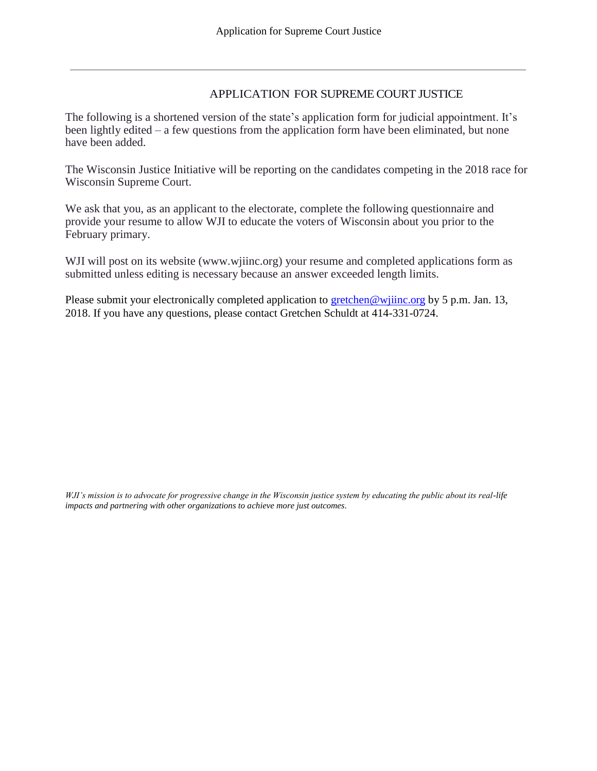### APPLICATION FOR SUPREME COURT JUSTICE

The following is a shortened version of the state's application form for judicial appointment. It's been lightly edited – a few questions from the application form have been eliminated, but none have been added.

The Wisconsin Justice Initiative will be reporting on the candidates competing in the 2018 race for Wisconsin Supreme Court.

We ask that you, as an applicant to the electorate, complete the following questionnaire and provide your resume to allow WJI to educate the voters of Wisconsin about you prior to the February primary.

WJI will post on its website (www.wjiinc.org) your resume and completed applications form as submitted unless editing is necessary because an answer exceeded length limits.

Please submit your electronically completed application to gretchen@wijinc.org by 5 p.m. Jan. 13, 2018. If you have any questions, please contact Gretchen Schuldt at 414-331-0724.

*WJI's mission is to advocate for progressive change in the Wisconsin justice system by educating the public about its real-life impacts and partnering with other organizations to achieve more just outcomes*.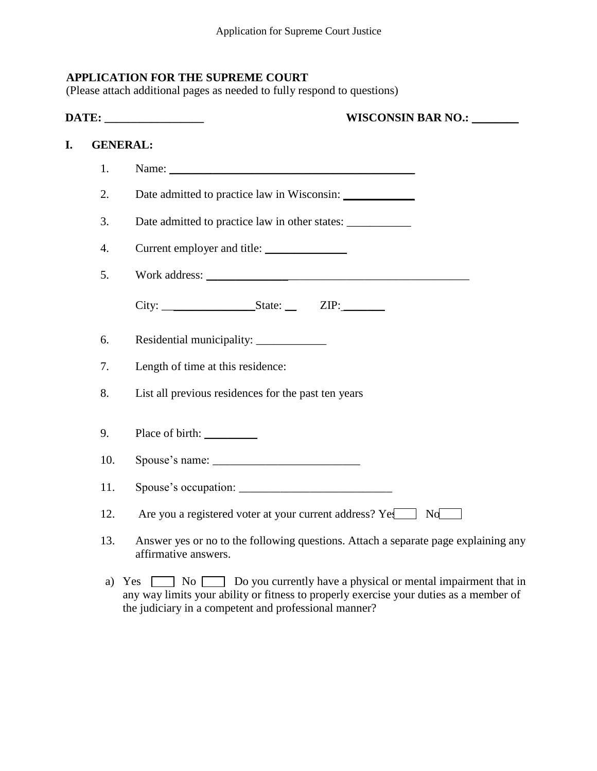## **APPLICATION FOR THE SUPREME COURT**

(Please attach additional pages as needed to fully respond to questions)

|    |                 | <b>WISCONSIN BAR NO.: _______</b><br><b>DATE:</b> _________________                                                                                                                                                                                                                          |
|----|-----------------|----------------------------------------------------------------------------------------------------------------------------------------------------------------------------------------------------------------------------------------------------------------------------------------------|
| I. | <b>GENERAL:</b> |                                                                                                                                                                                                                                                                                              |
|    | 1.              | Name: Name and the same of the same of the same of the same of the same of the same of the same of the same of the same of the same of the same of the same of the same of the same of the same of the same of the same of the                                                               |
|    | 2.              |                                                                                                                                                                                                                                                                                              |
|    | 3.              |                                                                                                                                                                                                                                                                                              |
|    | 4.              | Current employer and title:                                                                                                                                                                                                                                                                  |
|    | 5.              |                                                                                                                                                                                                                                                                                              |
|    |                 | $City:$ $_X =$ $XIP:$ $_X =$ $XIP:$ $_X =$ $XIP:$ $_X =$ $XIP:$ $_X =$ $XIP:$ $_X =$ $XIP:$ $_X =$ $XIP:$ $_X =$ $XIP:$ $_X =$ $XIP:$ $_X =$ $XIP:$ $_X =$ $XIP:$ $_X =$ $XIP:$ $_X =$ $XIP:$ $_X =$ $XIP:$ $_X =$ $XIP:$ $_X =$ $XIP:$ $_X =$ $XIP:$ $_X =$ $XIP:$ $_X =$ $XIP:$ $_X =$ $X$ |
|    | 6.              | Residential municipality: ______________                                                                                                                                                                                                                                                     |
|    | 7.              | Length of time at this residence:                                                                                                                                                                                                                                                            |
|    | 8.              | List all previous residences for the past ten years                                                                                                                                                                                                                                          |
|    | 9.              | Place of birth:                                                                                                                                                                                                                                                                              |
|    | 10.             |                                                                                                                                                                                                                                                                                              |
|    | 11.             |                                                                                                                                                                                                                                                                                              |
|    | 12.             | Are you a registered voter at your current address? Ye<br>No                                                                                                                                                                                                                                 |
|    | 13.             | Answer yes or no to the following questions. Attach a separate page explaining any<br>affirmative answers.                                                                                                                                                                                   |
|    |                 |                                                                                                                                                                                                                                                                                              |

a) Yes  $\Box$  No  $\Box$  Do you currently have a physical or mental impairment that in any way limits your ability or fitness to properly exercise your duties as a member of the judiciary in a competent and professional manner?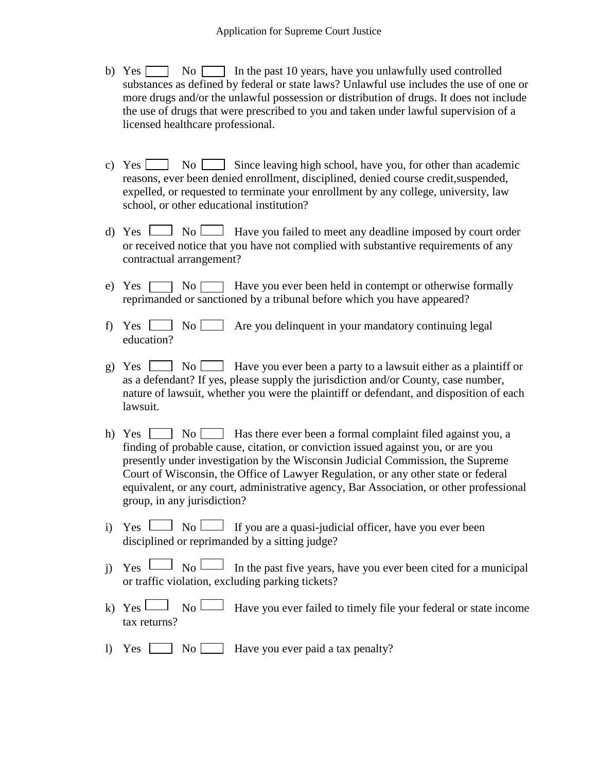- b) Yes  $\Box$  No  $\Box$  In the past 10 years, have you unlawfully used controlled substances as defined by federal or state laws? Unlawful use includes the use of one or more drugs and/or the unlawful possession or distribution of drugs. It does not include the use of drugs that were prescribed to you and taken under lawful supervision of a licensed healthcare professional.
- c) Yes  $\Box$  No  $\Box$  Since leaving high school, have you, for other than academic reasons, ever been denied enrollment, disciplined, denied course credit,suspended, expelled, or requested to terminate your enrollment by any college, university, law school, or other educational institution?
- d) Yes  $\Box$  No  $\Box$  Have you failed to meet any deadline imposed by court order or received notice that you have not complied with substantive requirements of any contractual arrangement?
- e) Yes  $\Box$  No  $\Box$  Have you ever been held in contempt or otherwise formally reprimanded or sanctioned by a tribunal before which you have appeared?
- f) Yes  $\Box$  No  $\Box$  Are you delinquent in your mandatory continuing legal education?
- g) Yes  $\Box$  No Have you ever been a party to a lawsuit either as a plaintiff or as a defendant? If yes, please supply the jurisdiction and/or County, case number, nature of lawsuit, whether you were the plaintiff or defendant, and disposition of each lawsuit.
- h) Yes  $\Box$  No  $\Box$  Has there ever been a formal complaint filed against you, a finding of probable cause, citation, or conviction issued against you, or are you presently under investigation by the Wisconsin Judicial Commission, the Supreme Court of Wisconsin, the Office of Lawyer Regulation, or any other state or federal equivalent, or any court, administrative agency, Bar Association, or other professional group, in any jurisdiction?
- i) Yes  $\Box$  No  $\Box$  If you are a quasi-judicial officer, have you ever been disciplined or reprimanded by a sitting judge?
- j) Yes  $\Box$  No In the past five years, have you ever been cited for a municipal or traffic violation, excluding parking tickets?
- k) Yes  $\Box$  No  $\Box$  Have you ever failed to timely file your federal or state income tax returns?
- l) Yes  $\Box$  No Have you ever paid a tax penalty?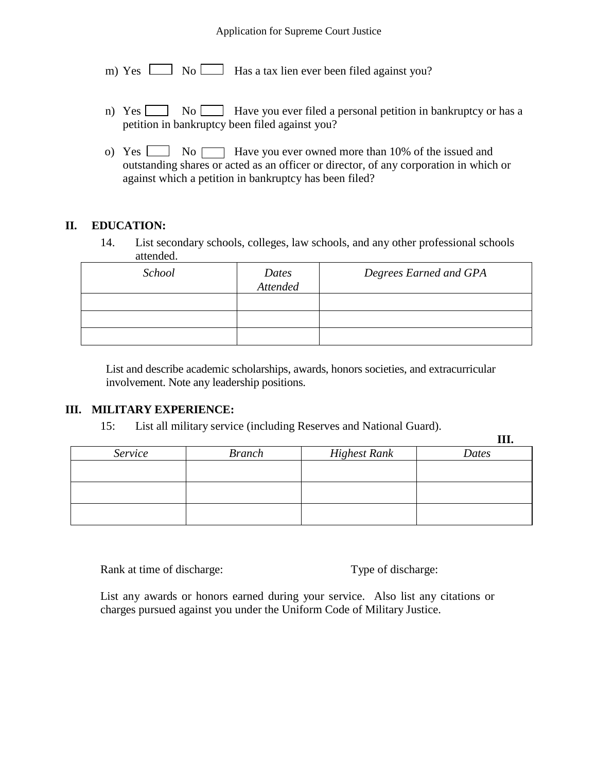#### Application for Supreme Court Justice

- m) Yes  $\Box$  No  $\Box$  Has a tax lien ever been filed against you?
- n) Yes  $\Box$  No Have you ever filed a personal petition in bankruptcy or has a petition in bankruptcy been filed against you?
- o) Yes  $\Box$  No  $\Box$  Have you ever owned more than 10% of the issued and outstanding shares or acted as an officer or director, of any corporation in which or against which a petition in bankruptcy has been filed?

## **II. EDUCATION:**

14. List secondary schools, colleges, law schools, and any other professional schools attended.

| School | Dates<br>Attended | Degrees Earned and GPA |
|--------|-------------------|------------------------|
|        |                   |                        |
|        |                   |                        |
|        |                   |                        |

 List and describe academic scholarships, awards, honors societies, and extracurricular involvement. Note any leadership positions.

#### **III. MILITARY EXPERIENCE:**

15: List all military service (including Reserves and National Guard).

|         |               |                     | 111.  |
|---------|---------------|---------------------|-------|
| Service | <b>Branch</b> | <b>Highest Rank</b> | Dates |
|         |               |                     |       |
|         |               |                     |       |
|         |               |                     |       |
|         |               |                     |       |
|         |               |                     |       |
|         |               |                     |       |

Rank at time of discharge: Type of discharge:

**III.**

List any awards or honors earned during your service. Also list any citations or charges pursued against you under the Uniform Code of Military Justice.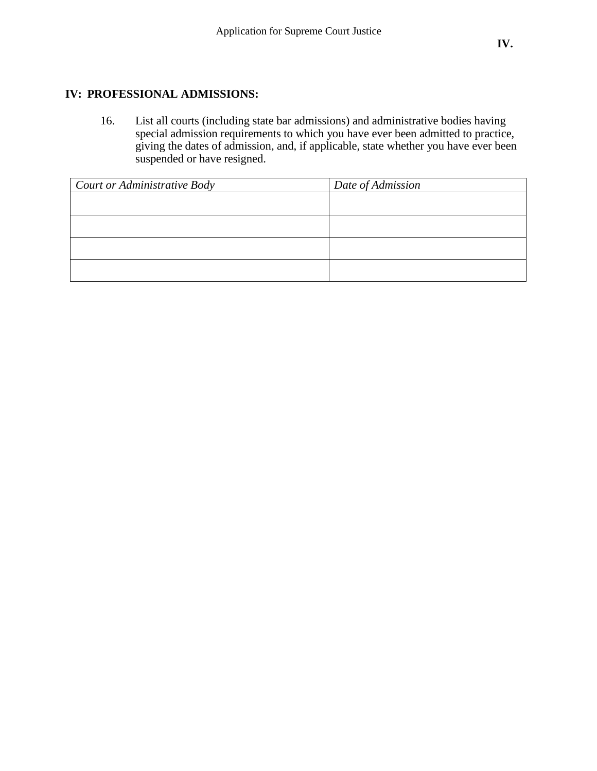16. List all courts (including state bar admissions) and administrative bodies having special admission requirements to which you have ever been admitted to practice, giving the dates of admission, and, if applicable, state whether you have ever been suspended or have resigned.

| Court or Administrative Body | Date of Admission |
|------------------------------|-------------------|
|                              |                   |
|                              |                   |
|                              |                   |
|                              |                   |
|                              |                   |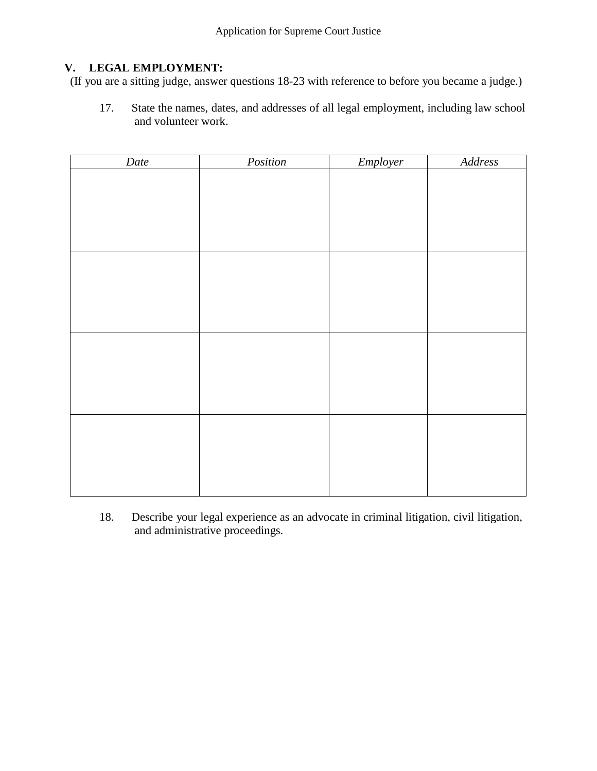# **V. LEGAL EMPLOYMENT:**

(If you are a sitting judge, answer questions 18-23 with reference to before you became a judge.)

17. State the names, dates, and addresses of all legal employment, including law school and volunteer work.

| Date | Position | Employer | Address |
|------|----------|----------|---------|
|      |          |          |         |
|      |          |          |         |
|      |          |          |         |
|      |          |          |         |
|      |          |          |         |
|      |          |          |         |
|      |          |          |         |
|      |          |          |         |
|      |          |          |         |
|      |          |          |         |
|      |          |          |         |
|      |          |          |         |
|      |          |          |         |
|      |          |          |         |
|      |          |          |         |
|      |          |          |         |
|      |          |          |         |
|      |          |          |         |
|      |          |          |         |
|      |          |          |         |

18. Describe your legal experience as an advocate in criminal litigation, civil litigation, and administrative proceedings.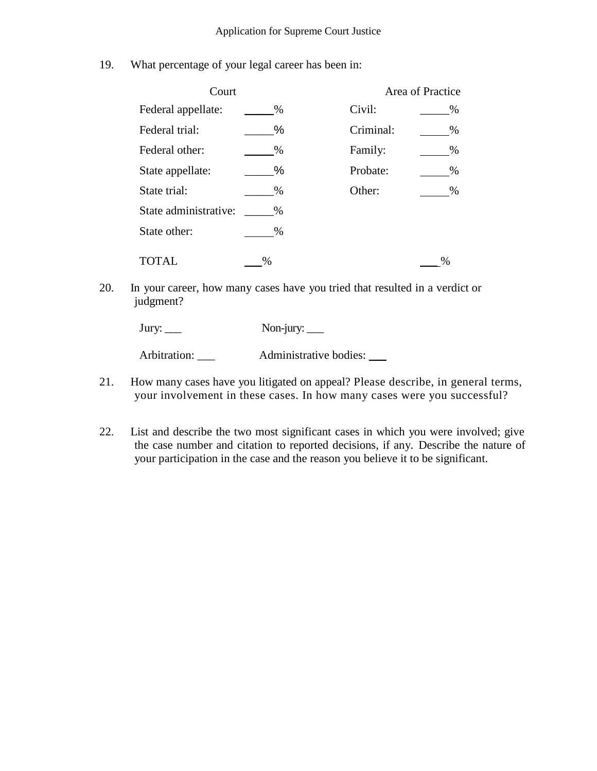19. What percentage of your legal career has been in:

| Court                 |      |           | Area of Practice |
|-----------------------|------|-----------|------------------|
| Federal appellate:    | $\%$ | Civil:    | $\%$             |
| Federal trial:        | $\%$ | Criminal: | $\%$             |
| Federal other:        | $\%$ | Family:   | %                |
| State appellate:      | %    | Probate:  | $\%$             |
| State trial:          | $\%$ | Other:    | $\%$             |
| State administrative: | $\%$ |           |                  |
| State other:          | $\%$ |           |                  |
| <b>TOTAL</b>          | %    |           | $\frac{0}{0}$    |

20. In your career, how many cases have you tried that resulted in a verdict or judgment?

| Jury: $\rule{1em}{0.15mm}$ | Non-jury: $\_\_$       |
|----------------------------|------------------------|
| Arbitration:               | Administrative bodies: |

- 21. How many cases have you litigated on appeal? Please describe, in general terms, your involvement in these cases. In how many cases were you successful?
- 22. List and describe the two most significant cases in which you were involved; give the case number and citation to reported decisions, if any. Describe the nature of your participation in the case and the reason you believe it to be significant.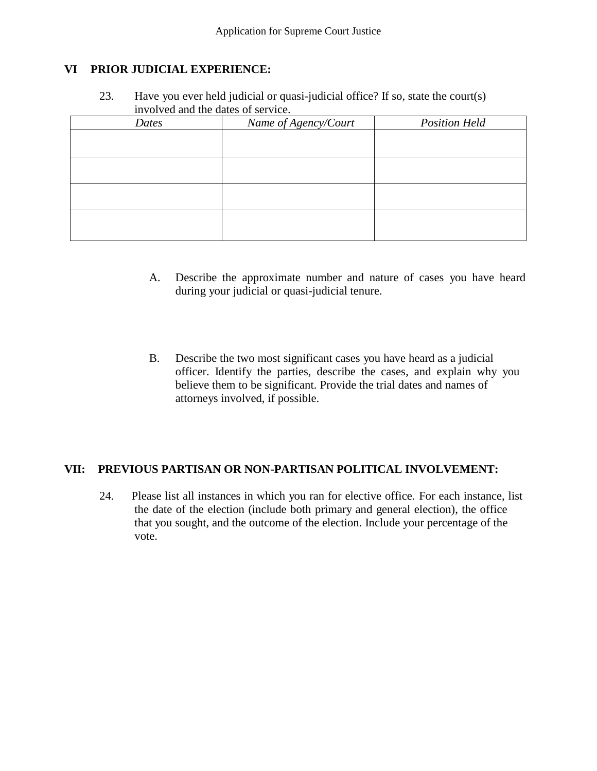### **VI PRIOR JUDICIAL EXPERIENCE:**

23. Have you ever held judicial or quasi-judicial office? If so, state the court(s) involved and the dates of service.

| Dates | Name of Agency/Court | <b>Position Held</b> |
|-------|----------------------|----------------------|
|       |                      |                      |
|       |                      |                      |
|       |                      |                      |
|       |                      |                      |
|       |                      |                      |
|       |                      |                      |
|       |                      |                      |
|       |                      |                      |

- A. Describe the approximate number and nature of cases you have heard during your judicial or quasi-judicial tenure.
- B. Describe the two most significant cases you have heard as a judicial officer. Identify the parties, describe the cases, and explain why you believe them to be significant. Provide the trial dates and names of attorneys involved, if possible.

#### **VII: PREVIOUS PARTISAN OR NON-PARTISAN POLITICAL INVOLVEMENT:**

24. Please list all instances in which you ran for elective office. For each instance, list the date of the election (include both primary and general election), the office that you sought, and the outcome of the election. Include your percentage of the vote.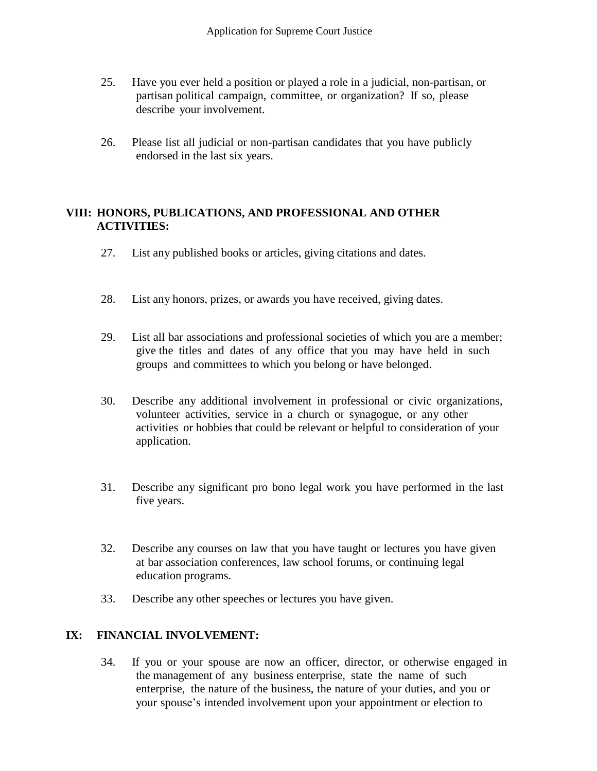- 25. Have you ever held a position or played a role in a judicial, non-partisan, or partisan political campaign, committee, or organization? If so, please describe your involvement.
- 26. Please list all judicial or non-partisan candidates that you have publicly endorsed in the last six years.

### **VIII: HONORS, PUBLICATIONS, AND PROFESSIONAL AND OTHER ACTIVITIES:**

- 27. List any published books or articles, giving citations and dates.
- 28. List any honors, prizes, or awards you have received, giving dates.
- 29. List all bar associations and professional societies of which you are a member; give the titles and dates of any office that you may have held in such groups and committees to which you belong or have belonged.
- 30. Describe any additional involvement in professional or civic organizations, volunteer activities, service in a church or synagogue, or any other activities or hobbies that could be relevant or helpful to consideration of your application.
- 31. Describe any significant pro bono legal work you have performed in the last five years.
- 32. Describe any courses on law that you have taught or lectures you have given at bar association conferences, law school forums, or continuing legal education programs.
- 33. Describe any other speeches or lectures you have given.

#### **IX: FINANCIAL INVOLVEMENT:**

34. If you or your spouse are now an officer, director, or otherwise engaged in the management of any business enterprise, state the name of such enterprise, the nature of the business, the nature of your duties, and you or your spouse's intended involvement upon your appointment or election to